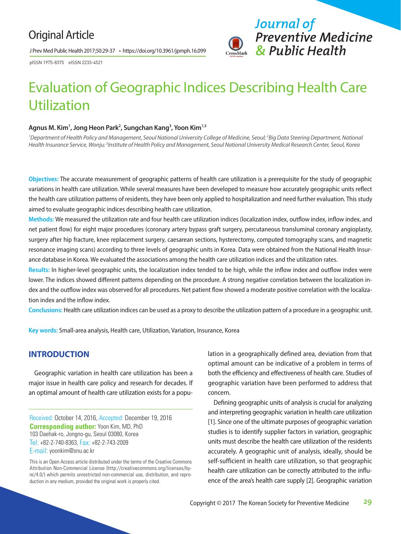## Original Article

J Prev Med Public Health 2017;50:29-37 • https://doi.org/10.3961/jpmph.16.099



pISSN 1975-8375 eISSN 2233-4521

# Evaluation of Geographic Indices Describing Health Care Utilization

#### **Agnus M. Kim1 , Jong Heon Park2 , Sungchan Kang3 , Yoon Kim1,3**

<sup>1</sup>Department of Health Policy and Management, Seoul National University College of Medicine, Seoul; <sup>2</sup>Big Data Steering Department, National *Health Insurance Service, Wonju; 3 Institute of Health Policy and Management, Seoul National University Medical Research Center, Seoul, Korea* 

**Objectives:** The accurate measurement of geographic patterns of health care utilization is a prerequisite for the study of geographic variations in health care utilization. While several measures have been developed to measure how accurately geographic units reflect the health care utilization patterns of residents, they have been only applied to hospitalization and need further evaluation. This study aimed to evaluate geographic indices describing health care utilization.

**Methods:** We measured the utilization rate and four health care utilization indices (localization index, outflow index, inflow index, and net patient flow) for eight major procedures (coronary artery bypass graft surgery, percutaneous transluminal coronary angioplasty, surgery after hip fracture, knee replacement surgery, caesarean sections, hysterectomy, computed tomography scans, and magnetic resonance imaging scans) according to three levels of geographic units in Korea. Data were obtained from the National Health Insurance database in Korea. We evaluated the associations among the health care utilization indices and the utilization rates.

**Results:** In higher-level geographic units, the localization index tended to be high, while the inflow index and outflow index were lower. The indices showed different patterns depending on the procedure. A strong negative correlation between the localization index and the outflow index was observed for all procedures. Net patient flow showed a moderate positive correlation with the localization index and the inflow index.

**Conclusions:** Health care utilization indices can be used as a proxy to describe the utilization pattern of a procedure in a geographic unit.

**Key words:** Small-area analysis, Health care, Utilization, Variation, Insurance, Korea

#### **INTRODUCTION**

Geographic variation in health care utilization has been a major issue in health care policy and research for decades. If an optimal amount of health care utilization exists for a popu-

Received: October 14, 2016, Accepted: December 19, 2016 **Corresponding author:** Yoon Kim, MD, PhD 103 Daehak-ro, Jongno-gu, Seoul 03080, Korea Tel: +82-2-740-8363, Fax: +82-2-743-2009 E-mail: yoonkim@snu.ac.kr

This is an Open Access article distributed under the terms of the Creative Commons Attribution Non-Commercial License (http://creativecommons.org/licenses/bync/4.0/) which permits unrestricted non-commercial use, distribution, and reproduction in any medium, provided the original work is properly cited.

lation in a geographically defined area, deviation from that optimal amount can be indicative of a problem in terms of both the efficiency and effectiveness of health care. Studies of geographic variation have been performed to address that concern.

Defining geographic units of analysis is crucial for analyzing and interpreting geographic variation in health care utilization [1]. Since one of the ultimate purposes of geographic variation studies is to identify supplier factors in variation, geographic units must describe the health care utilization of the residents accurately. A geographic unit of analysis, ideally, should be self-sufficient in health care utilization, so that geographic health care utilization can be correctly attributed to the influence of the area's health care supply [2]. Geographic variation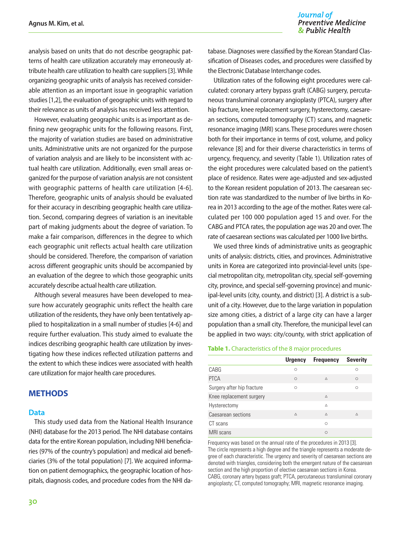analysis based on units that do not describe geographic patterns of health care utilization accurately may erroneously attribute health care utilization to health care suppliers [3]. While organizing geographic units of analysis has received considerable attention as an important issue in geographic variation studies [1,2], the evaluation of geographic units with regard to their relevance as units of analysis has received less attention.

However, evaluating geographic units is as important as defining new geographic units for the following reasons. First, the majority of variation studies are based on administrative units. Administrative units are not organized for the purpose of variation analysis and are likely to be inconsistent with actual health care utilization. Additionally, even small areas organized for the purpose of variation analysis are not consistent with geographic patterns of health care utilization [4-6]. Therefore, geographic units of analysis should be evaluated for their accuracy in describing geographic health care utilization. Second, comparing degrees of variation is an inevitable part of making judgments about the degree of variation. To make a fair comparison, differences in the degree to which each geographic unit reflects actual health care utilization should be considered. Therefore, the comparison of variation across different geographic units should be accompanied by an evaluation of the degree to which those geographic units accurately describe actual health care utilization.

Although several measures have been developed to measure how accurately geographic units reflect the health care utilization of the residents, they have only been tentatively applied to hospitalization in a small number of studies [4-6] and require further evaluation. This study aimed to evaluate the indices describing geographic health care utilization by investigating how these indices reflected utilization patterns and the extent to which these indices were associated with health care utilization for major health care procedures.

#### **METHODS**

#### **Data**

This study used data from the National Health Insurance (NHI) database for the 2013 period. The NHI database contains data for the entire Korean population, including NHI beneficiaries (97% of the country's population) and medical aid beneficiaries (3% of the total population) [7]. We acquired information on patient demographics, the geographic location of hospitals, diagnosis codes, and procedure codes from the NHI da-

tabase. Diagnoses were classified by the Korean Standard Classification of Diseases codes, and procedures were classified by the Electronic Database Interchange codes.

Utilization rates of the following eight procedures were calculated: coronary artery bypass graft (CABG) surgery, percutaneous transluminal coronary angioplasty (PTCA), surgery after hip fracture, knee replacement surgery, hysterectomy, caesarean sections, computed tomography (CT) scans, and magnetic resonance imaging (MRI) scans. These procedures were chosen both for their importance in terms of cost, volume, and policy relevance [8] and for their diverse characteristics in terms of urgency, frequency, and severity (Table 1). Utilization rates of the eight procedures were calculated based on the patient's place of residence. Rates were age-adjusted and sex-adjusted to the Korean resident population of 2013. The caesarean section rate was standardized to the number of live births in Korea in 2013 according to the age of the mother. Rates were calculated per 100 000 population aged 15 and over. For the CABG and PTCA rates, the population age was 20 and over. The rate of caesarean sections was calculated per 1000 live births.

We used three kinds of administrative units as geographic units of analysis: districts, cities, and provinces. Administrative units in Korea are categorized into provincial-level units (special metropolitan city, metropolitan city, special self-governing city, province, and special self-governing province) and municipal-level units (city, county, and district) [3]. A district is a subunit of a city. However, due to the large variation in population size among cities, a district of a large city can have a larger population than a small city. Therefore, the municipal level can be applied in two ways: city/county, with strict application of

#### **Table 1.** Characteristics of the 8 major procedures

|                            | <b>Urgency</b> | <b>Frequency</b> | <b>Severity</b> |
|----------------------------|----------------|------------------|-----------------|
| CABG                       | $\circ$        |                  | O               |
| <b>PTCA</b>                | $\circ$        | Δ                | $\circ$         |
| Surgery after hip fracture | Ω              |                  | $\bigcirc$      |
| Knee replacement surgery   |                | Δ                |                 |
| Hysterectomy               |                | $\wedge$         |                 |
| Caesarean sections         | Δ              | $\wedge$         | Δ               |
| CT scans                   |                | $\bigcap$        |                 |
| MRI scans                  |                | $\bigcirc$       |                 |

Frequency was based on the annual rate of the procedures in 2013 [3]. The circle represents a high degree and the triangle represents a moderate degree of each characteristic. The urgency and severity of caesarean sections are denoted with triangles, considering both the emergent nature of the caesarean section and the high proportion of elective caesarean sections in Korea. CABG, coronary artery bypass graft; PTCA, percutaneous transluminal coronary angioplasty; CT, computed tomography; MRI, magnetic resonance imaging.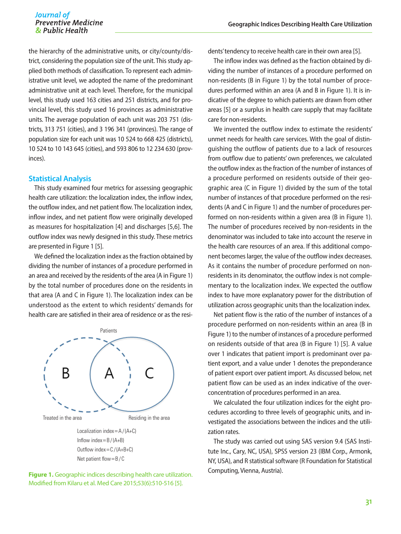the hierarchy of the administrative units, or city/county/district, considering the population size of the unit. This study applied both methods of classification. To represent each administrative unit level, we adopted the name of the predominant administrative unit at each level. Therefore, for the municipal level, this study used 163 cities and 251 districts, and for provincial level, this study used 16 provinces as administrative units. The average population of each unit was 203 751 (districts, 313 751 (cities), and 3 196 341 (provinces). The range of population size for each unit was 10 524 to 668 425 (districts), 10 524 to 10 143 645 (cities), and 593 806 to 12 234 630 (provinces).

#### **Statistical Analysis**

This study examined four metrics for assessing geographic health care utilization: the localization index, the inflow index, the outflow index, and net patient flow. The localization index, inflow index, and net patient flow were originally developed as measures for hospitalization [4] and discharges [5,6]. The outflow index was newly designed in this study. These metrics are presented in Figure 1 [5].

We defined the localization index as the fraction obtained by dividing the number of instances of a procedure performed in an area and received by the residents of the area (A in Figure 1) by the total number of procedures done on the residents in that area (A and C in Figure 1). The localization index can be understood as the extent to which residents' demands for health care are satisfied in their area of residence or as the resi-



Net patient flow=B/C



dents' tendency to receive health care in their own area [5].

The inflow index was defined as the fraction obtained by dividing the number of instances of a procedure performed on non-residents (B in Figure 1) by the total number of procedures performed within an area (A and B in Figure 1). It is indicative of the degree to which patients are drawn from other areas [5] or a surplus in health care supply that may facilitate care for non-residents.

We invented the outflow index to estimate the residents' unmet needs for health care services. With the goal of distinguishing the outflow of patients due to a lack of resources from outflow due to patients' own preferences, we calculated the outflow index as the fraction of the number of instances of a procedure performed on residents outside of their geographic area (C in Figure 1) divided by the sum of the total number of instances of that procedure performed on the residents (A and C in Figure 1) and the number of procedures performed on non-residents within a given area (B in Figure 1). The number of procedures received by non-residents in the denominator was included to take into account the reserve in the health care resources of an area. If this additional component becomes larger, the value of the outflow index decreases. As it contains the number of procedure performed on nonresidents in its denominator, the outflow index is not complementary to the localization index. We expected the outflow index to have more explanatory power for the distribution of utilization across geographic units than the localization index.

Net patient flow is the ratio of the number of instances of a procedure performed on non-residents within an area (B in Figure 1) to the number of instances of a procedure performed on residents outside of that area (B in Figure 1) [5]. A value over 1 indicates that patient import is predominant over patient export, and a value under 1 denotes the preponderance of patient export over patient import. As discussed below, net patient flow can be used as an index indicative of the overconcentration of procedures performed in an area.

We calculated the four utilization indices for the eight procedures according to three levels of geographic units, and investigated the associations between the indices and the utilization rates.

The study was carried out using SAS version 9.4 (SAS Institute Inc., Cary, NC, USA), SPSS version 23 (IBM Corp., Armonk, NY, USA), and R statistical software (R Foundation for Statistical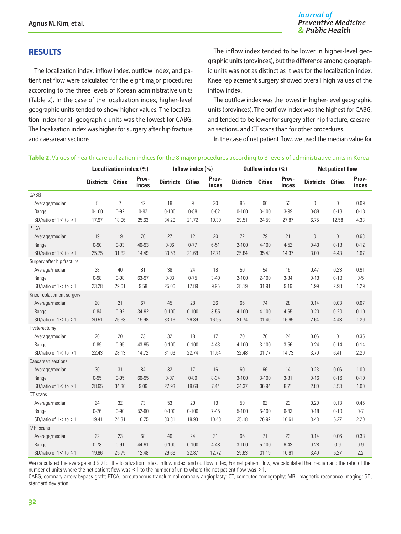## **RESULTS**

The localization index, inflow index, outflow index, and patient net flow were calculated for the eight major procedures according to the three levels of Korean administrative units (Table 2). In the case of the localization index, higher-level geographic units tended to show higher values. The localization index for all geographic units was the lowest for CABG. The localization index was higher for surgery after hip fracture and caesarean sections.

The inflow index tended to be lower in higher-level geographic units (provinces), but the difference among geographic units was not as distinct as it was for the localization index. Knee replacement surgery showed overall high values of the inflow index.

The outflow index was the lowest in higher-level geographic units (provinces). The outflow index was the highest for CABG, and tended to be lower for surgery after hip fracture, caesarean sections, and CT scans than for other procedures.

In the case of net patient flow, we used the median value for

#### **Table 2.** Values of health care utilization indices for the 8 major procedures according to 3 levels of administrative units in Korea

|                            | Localiization index (%) |                | Inflow index $(\% )$ |                         |           | Outflow index (%) |                         |           | <b>Net patient flow</b> |                         |          |                |
|----------------------------|-------------------------|----------------|----------------------|-------------------------|-----------|-------------------|-------------------------|-----------|-------------------------|-------------------------|----------|----------------|
|                            | <b>Districts</b>        | <b>Cities</b>  | Prov-<br>inces       | <b>Districts Cities</b> |           | Prov-<br>inces    | <b>Districts Cities</b> |           | Prov-<br>inces          | <b>Districts Cities</b> |          | Prov-<br>inces |
| CABG                       |                         |                |                      |                         |           |                   |                         |           |                         |                         |          |                |
| Average/median             | 8                       | $\overline{7}$ | 42                   | 18                      | 9         | 20                | 85                      | 90        | 53                      | 0                       | 0        | 0.09           |
| Range                      | $0 - 100$               | $0 - 92$       | $0 - 92$             | $0 - 100$               | $0 - 88$  | $0 - 62$          | $0 - 100$               | $3 - 100$ | 3-99                    | $0 - 88$                | $0 - 18$ | $0 - 18$       |
| SD/ratio of $1 <$ to $>1$  | 17.97                   | 18.96          | 25.63                | 34.29                   | 21.72     | 19.30             | 29.51                   | 24.59     | 27.87                   | 6.75                    | 12.58    | 4.33           |
| PTCA                       |                         |                |                      |                         |           |                   |                         |           |                         |                         |          |                |
| Average/median             | 19                      | 19             | 76                   | 27                      | 12        | 20                | 72                      | 79        | 21                      | 0                       | 0        | 0.63           |
| Range                      | $0 - 90$                | $0 - 93$       | 46-93                | $0 - 96$                | $0 - 77$  | $6 - 51$          | $2 - 100$               | $4 - 100$ | $4 - 52$                | $0 - 43$                | $0 - 13$ | $0 - 12$       |
| SD/ratio of $1 <$ to $>1$  | 25.75                   | 31.82          | 14.49                | 33.53                   | 21.68     | 12.71             | 35.84                   | 35.43     | 14.37                   | 3.00                    | 4.43     | 1.67           |
| Surgery after hip fracture |                         |                |                      |                         |           |                   |                         |           |                         |                         |          |                |
| Average/median             | 38                      | 40             | 81                   | 38                      | 24        | 18                | 50                      | 54        | 16                      | 0.47                    | 0.23     | 0.91           |
| Range                      | $0 - 98$                | $0 - 98$       | 63-97                | $0 - 93$                | $0 - 75$  | $3 - 40$          | $2 - 100$               | $2 - 100$ | $3 - 34$                | $0 - 19$                | $0 - 19$ | $0 - 5$        |
| SD/ratio of $1 <$ to $>1$  | 23.28                   | 29.61          | 9.58                 | 25.06                   | 17.89     | 9.95              | 28.19                   | 31.91     | 9.16                    | 1.99                    | 2.98     | 1.29           |
| Knee replacement surgery   |                         |                |                      |                         |           |                   |                         |           |                         |                         |          |                |
| Average/median             | 20                      | 21             | 67                   | 45                      | 28        | 26                | 66                      | 74        | 28                      | 0.14                    | 0.03     | 0.67           |
| Range                      | $0 - 84$                | $0 - 92$       | 34-92                | $0 - 100$               | $0 - 100$ | $3 - 55$          | $4 - 100$               | $4 - 100$ | $4 - 65$                | $0 - 20$                | $0 - 20$ | $0 - 10$       |
| SD/ratio of $1 <$ to $>1$  | 20.51                   | 26.68          | 15.98                | 33.16                   | 26.89     | 16.95             | 31.74                   | 31.40     | 16.95                   | 2.64                    | 4.43     | 1.29           |
| Hysterectomy               |                         |                |                      |                         |           |                   |                         |           |                         |                         |          |                |
| Average/median             | 20                      | 20             | 73                   | 32                      | 18        | 17                | $70$                    | 76        | 24                      | 0.06                    | 0        | 0.35           |
| Range                      | $0 - 89$                | $0 - 95$       | 43-95                | $0 - 100$               | $0 - 100$ | $4 - 43$          | $4 - 100$               | $3 - 100$ | $3-56$                  | $0 - 24$                | $0 - 14$ | $0 - 14$       |
| SD/ratio of $1 <$ to $>1$  | 22.43                   | 28.13          | 14,72                | 31.03                   | 22.74     | 11.64             | 32.48                   | 31.77     | 14.73                   | 3.70                    | 6.41     | 2.20           |
| Caesarean sections         |                         |                |                      |                         |           |                   |                         |           |                         |                         |          |                |
| Average/median             | 30                      | 31             | 84                   | 32                      | 17        | 16                | 60                      | 66        | 14                      | 0.23                    | 0.06     | 1.00           |
| Range                      | $0 - 95$                | $0 - 95$       | 66-95                | $0 - 97$                | $0 - 80$  | $8 - 34$          | $3 - 100$               | $3 - 100$ | $3 - 31$                | $0 - 16$                | $0 - 16$ | $0 - 10$       |
| SD/ratio of $1 <$ to $>1$  | 28.65                   | 34.30          | 9.06                 | 27.93                   | 18.68     | 7.44              | 34.37                   | 36.94     | 8.71                    | 2.80                    | 3.53     | 1.00           |
| CT scans                   |                         |                |                      |                         |           |                   |                         |           |                         |                         |          |                |
| Average/median             | 24                      | 32             | 73                   | 53                      | 29        | 19                | 59                      | 62        | 23                      | 0.29                    | 0.13     | 0.45           |
| Range                      | $0 - 76$                | $0 - 90$       | 52-90                | $0 - 100$               | $0 - 100$ | $7 - 45$          | $5 - 100$               | $6 - 100$ | $6 - 43$                | $0 - 18$                | $0 - 10$ | $0 - 7$        |
| SD/ratio of $1 <$ to $>1$  | 19.41                   | 24.31          | 10.75                | 30.81                   | 18.93     | 10.48             | 25.18                   | 26.92     | 10.61                   | 3.48                    | 5.27     | 2.20           |
| MRI scans                  |                         |                |                      |                         |           |                   |                         |           |                         |                         |          |                |
| Average/median             | 22                      | 23             | 68                   | 40                      | 24        | 21                | 66                      | 71        | 23                      | 0.14                    | 0.06     | 0.38           |
| Range                      | $0 - 78$                | $0 - 91$       | 44-91                | $0 - 100$               | $0 - 100$ | $4 - 48$          | $3 - 100$               | $5 - 100$ | $6 - 43$                | $0 - 28$                | $0 - 9$  | $0-9$          |
| SD/ratio of $1 <$ to $>1$  | 19.66                   | 25.75          | 12.48                | 29.66                   | 22.87     | 12.72             | 29.63                   | 31.19     | 10.61                   | 3.40                    | 5.27     | 2.2            |

We calculated the average and SD for the localization index, inflow index, and outflow index; For net patient flow, we calculated the median and the ratio of the number of units where the net patient flow was <1 to the number of units where the net patient flow was >1.

CABG, coronary artery bypass graft; PTCA, percutaneous transluminal coronary angioplasty; CT, computed tomography; MRI, magnetic resonance imaging; SD, standard deviation.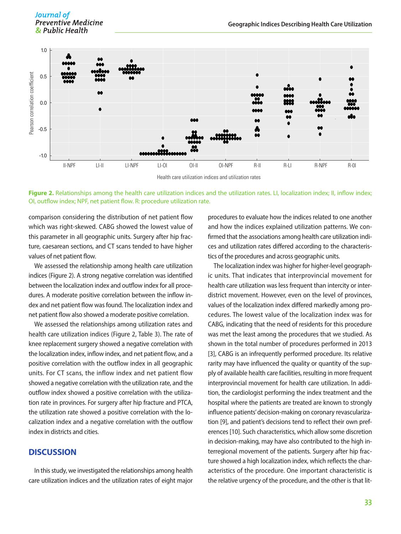Journal of **Preventive Medicine** & Public Health



Figure 2. Relationships among the health care utilization indices and the utilization rates. LI, localization index; II, inflow index;

comparison considering the distribution of net patient flow which was right-skewed. CABG showed the lowest value of this parameter in all geographic units. Surgery after hip fracture, caesarean sections, and CT scans tended to have higher values of net patient flow.

We assessed the relationship among health care utilization indices (Figure 2). A strong negative correlation was identified between the localization index and outflow index for all procedures. A moderate positive correlation between the inflow index and net patient flow was found. The localization index and net patient flow also showed a moderate positive correlation.

We assessed the relationships among utilization rates and health care utilization indices (Figure 2, Table 3). The rate of knee replacement surgery showed a negative correlation with the localization index, inflow index, and net patient flow, and a positive correlation with the outflow index in all geographic units. For CT scans, the inflow index and net patient flow showed a negative correlation with the utilization rate, and the outflow index showed a positive correlation with the utilization rate in provinces. For surgery after hip fracture and PTCA, the utilization rate showed a positive correlation with the localization index and a negative correlation with the outflow index in districts and cities.

#### **DISCUSSION**

In this study, we investigated the relationships among health care utilization indices and the utilization rates of eight major

procedures to evaluate how the indices related to one another and how the indices explained utilization patterns. We confirmed that the associations among health care utilization indices and utilization rates differed according to the characteristics of the procedures and across geographic units.

The localization index was higher for higher-level geographic units. That indicates that interprovincial movement for health care utilization was less frequent than intercity or interdistrict movement. However, even on the level of provinces, values of the localization index differed markedly among procedures. The lowest value of the localization index was for CABG, indicating that the need of residents for this procedure was met the least among the procedures that we studied. As shown in the total number of procedures performed in 2013 [3], CABG is an infrequently performed procedure. Its relative rarity may have influenced the quality or quantity of the supply of available health care facilities, resulting in more frequent interprovincial movement for health care utilization. In addition, the cardiologist performing the index treatment and the hospital where the patients are treated are known to strongly influence patients' decision-making on coronary revascularization [9], and patient's decisions tend to reflect their own preferences [10]. Such characteristics, which allow some discretion in decision-making, may have also contributed to the high interregional movement of the patients. Surgery after hip fracture showed a high localization index, which reflects the characteristics of the procedure. One important characteristic is the relative urgency of the procedure, and the other is that lit-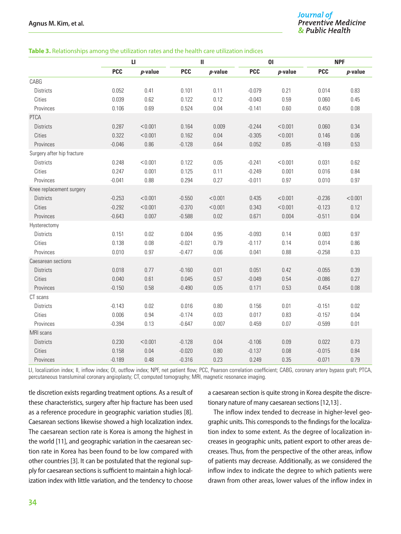#### **Table 3.** Relationships among the utilization rates and the health care utilization indices

|                            | и          |            | $\mathbf{H}$ |            |            | 0 <sub>l</sub> | <b>NPF</b> |            |  |
|----------------------------|------------|------------|--------------|------------|------------|----------------|------------|------------|--|
|                            | <b>PCC</b> | $p$ -value | <b>PCC</b>   | $p$ -value | <b>PCC</b> | $p$ -value     | <b>PCC</b> | $p$ -value |  |
| CABG                       |            |            |              |            |            |                |            |            |  |
| <b>Districts</b>           | 0.052      | 0.41       | 0.101        | 0.11       | $-0.079$   | 0.21           | 0.014      | 0.83       |  |
| Cities                     | 0.039      | 0.62       | 0.122        | 0.12       | $-0.043$   | 0.59           | 0.060      | 0.45       |  |
| Provinces                  | 0.106      | 0.69       | 0.524        | 0.04       | $-0.141$   | 0.60           | 0.450      | 0.08       |  |
| <b>PTCA</b>                |            |            |              |            |            |                |            |            |  |
| <b>Districts</b>           | 0.287      | < 0.001    | 0.164        | 0.009      | $-0.244$   | < 0.001        | 0.060      | 0.34       |  |
| Cities                     | 0.322      | < 0.001    | 0.162        | 0.04       | $-0.305$   | < 0.001        | 0.146      | 0.06       |  |
| Provinces                  | $-0.046$   | 0.86       | $-0.128$     | 0.64       | 0.052      | 0.85           | $-0.169$   | 0.53       |  |
| Surgery after hip fracture |            |            |              |            |            |                |            |            |  |
| <b>Districts</b>           | 0.248      | < 0.001    | 0.122        | 0.05       | $-0.241$   | < 0.001        | 0.031      | 0.62       |  |
| Cities                     | 0.247      | 0.001      | 0.125        | 0.11       | $-0.249$   | 0.001          | 0.016      | 0.84       |  |
| Provinces                  | $-0.041$   | 0.88       | 0.294        | 0.27       | $-0.011$   | 0.97           | 0.010      | 0.97       |  |
| Knee replacement surgery   |            |            |              |            |            |                |            |            |  |
| Districts                  | $-0.253$   | < 0.001    | $-0.550$     | < 0.001    | 0.435      | < 0.001        | $-0.236$   | < 0.001    |  |
| Cities                     | $-0.292$   | < 0.001    | $-0.370$     | < 0.001    | 0.343      | < 0.001        | $-0.123$   | 0.12       |  |
| Provinces                  | $-0.643$   | 0.007      | $-0.588$     | 0.02       | 0.671      | 0.004          | $-0.511$   | 0.04       |  |
| Hysterectomy               |            |            |              |            |            |                |            |            |  |
| <b>Districts</b>           | 0.151      | 0.02       | 0.004        | 0.95       | $-0.093$   | 0.14           | 0.003      | 0.97       |  |
| Cities                     | 0.138      | 0.08       | $-0.021$     | 0.79       | $-0.117$   | 0.14           | 0.014      | 0.86       |  |
| Provinces                  | 0.010      | 0.97       | $-0.477$     | 0.06       | 0.041      | 0.88           | $-0.258$   | 0.33       |  |
| Caesarean sections         |            |            |              |            |            |                |            |            |  |
| <b>Districts</b>           | 0.018      | 0.77       | $-0.160$     | 0.01       | 0.051      | 0.42           | $-0.055$   | 0.39       |  |
| Cities                     | 0.040      | 0.61       | 0.045        | 0.57       | $-0.049$   | 0.54           | $-0.086$   | 0.27       |  |
| Provinces                  | $-0.150$   | 0.58       | $-0.490$     | 0.05       | 0.171      | 0.53           | 0.454      | 0.08       |  |
| CT scans                   |            |            |              |            |            |                |            |            |  |
| <b>Districts</b>           | $-0.143$   | 0.02       | 0.016        | 0.80       | 0.156      | 0.01           | $-0.151$   | 0.02       |  |
| Cities                     | 0.006      | 0.94       | $-0.174$     | 0.03       | 0.017      | 0.83           | $-0.157$   | 0.04       |  |
| Provinces                  | $-0.394$   | 0.13       | $-0.647$     | 0.007      | 0.459      | 0.07           | $-0.599$   | 0.01       |  |
| MRI scans                  |            |            |              |            |            |                |            |            |  |
| <b>Districts</b>           | 0.230      | < 0.001    | $-0.128$     | 0.04       | $-0.106$   | 0.09           | 0.022      | 0.73       |  |
| Cities                     | 0.158      | 0.04       | $-0.020$     | $0.80\,$   | $-0.137$   | 0.08           | $-0.015$   | 0.84       |  |
| Provinces                  | $-0.189$   | 0.48       | $-0.316$     | 0.23       | 0.249      | 0.35           | $-0.071$   | 0.79       |  |

LI, localization index; II, inflow index; OI, outflow index; NPF, net patient flow; PCC, Pearson correlation coefficient; CABG, coronary artery bypass graft; PTCA, percutaneous transluminal coronary angioplasty; CT, computed tomography; MRI, magnetic resonance imaging.

tle discretion exists regarding treatment options. As a result of these characteristics, surgery after hip fracture has been used as a reference procedure in geographic variation studies [8]. Caesarean sections likewise showed a high localization index. The caesarean section rate is Korea is among the highest in the world [11], and geographic variation in the caesarean section rate in Korea has been found to be low compared with other countries [3]. It can be postulated that the regional supply for caesarean sections is sufficient to maintain a high localization index with little variation, and the tendency to choose a caesarean section is quite strong in Korea despite the discretionary nature of many caesarean sections [12,13] .

The inflow index tended to decrease in higher-level geographic units. This corresponds to the findings for the localization index to some extent. As the degree of localization increases in geographic units, patient export to other areas decreases. Thus, from the perspective of the other areas, inflow of patients may decrease. Additionally, as we considered the inflow index to indicate the degree to which patients were drawn from other areas, lower values of the inflow index in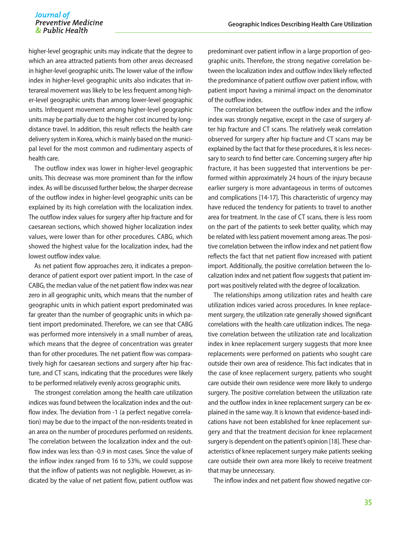higher-level geographic units may indicate that the degree to which an area attracted patients from other areas decreased in higher-level geographic units. The lower value of the inflow index in higher-level geographic units also indicates that interareal movement was likely to be less frequent among higher-level geographic units than among lower-level geographic units. Infrequent movement among higher-level geographic units may be partially due to the higher cost incurred by longdistance travel. In addition, this result reflects the health care delivery system in Korea, which is mainly based on the municipal level for the most common and rudimentary aspects of health care.

The outflow index was lower in higher-level geographic units. This decrease was more prominent than for the inflow index. As will be discussed further below, the sharper decrease of the outflow index in higher-level geographic units can be explained by its high correlation with the localization index. The outflow index values for surgery after hip fracture and for caesarean sections, which showed higher localization index values, were lower than for other procedures. CABG, which showed the highest value for the localization index, had the lowest outflow index value.

As net patient flow approaches zero, it indicates a preponderance of patient export over patient import. In the case of CABG, the median value of the net patient flow index was near zero in all geographic units, which means that the number of geographic units in which patient export predominated was far greater than the number of geographic units in which patient import predominated. Therefore, we can see that CABG was performed more intensively in a small number of areas, which means that the degree of concentration was greater than for other procedures. The net patient flow was comparatively high for caesarean sections and surgery after hip fracture, and CT scans, indicating that the procedures were likely to be performed relatively evenly across geographic units.

The strongest correlation among the health care utilization indices was found between the localization index and the outflow index. The deviation from -1 (a perfect negative correlation) may be due to the impact of the non-residents treated in an area on the number of procedures performed on residents. The correlation between the localization index and the outflow index was less than -0.9 in most cases. Since the value of the inflow index ranged from 16 to 53%, we could suppose that the inflow of patients was not negligible. However, as indicated by the value of net patient flow, patient outflow was

predominant over patient inflow in a large proportion of geographic units. Therefore, the strong negative correlation between the localization index and outflow index likely reflected the predominance of patient outflow over patient inflow, with patient import having a minimal impact on the denominator of the outflow index.

The correlation between the outflow index and the inflow index was strongly negative, except in the case of surgery after hip fracture and CT scans. The relatively weak correlation observed for surgery after hip fracture and CT scans may be explained by the fact that for these procedures, it is less necessary to search to find better care. Concerning surgery after hip fracture, it has been suggested that interventions be performed within approximately 24 hours of the injury because earlier surgery is more advantageous in terms of outcomes and complications [14-17]. This characteristic of urgency may have reduced the tendency for patients to travel to another area for treatment. In the case of CT scans, there is less room on the part of the patients to seek better quality, which may be related with less patient movement among areas. The positive correlation between the inflow index and net patient flow reflects the fact that net patient flow increased with patient import. Additionally, the positive correlation between the localization index and net patient flow suggests that patient import was positively related with the degree of localization.

The relationships among utilization rates and health care utilization indices varied across procedures. In knee replacement surgery, the utilization rate generally showed significant correlations with the health care utilization indices. The negative correlation between the utilization rate and localization index in knee replacement surgery suggests that more knee replacements were performed on patients who sought care outside their own area of residence. This fact indicates that in the case of knee replacement surgery, patients who sought care outside their own residence were more likely to undergo surgery. The positive correlation between the utilization rate and the outflow index in knee replacement surgery can be explained in the same way. It is known that evidence-based indications have not been established for knee replacement surgery and that the treatment decision for knee replacement surgery is dependent on the patient's opinion [18]. These characteristics of knee replacement surgery make patients seeking care outside their own area more likely to receive treatment that may be unnecessary.

The inflow index and net patient flow showed negative cor-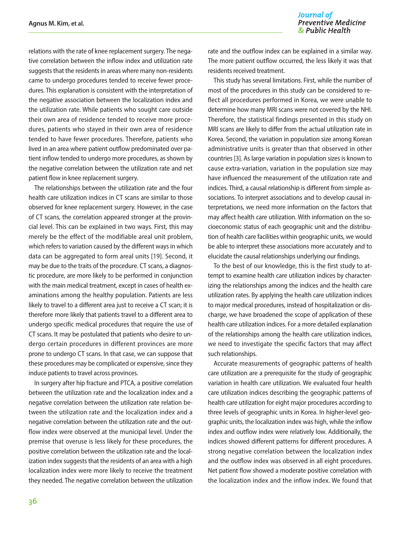relations with the rate of knee replacement surgery. The negative correlation between the inflow index and utilization rate suggests that the residents in areas where many non-residents came to undergo procedures tended to receive fewer procedures. This explanation is consistent with the interpretation of the negative association between the localization index and the utilization rate. While patients who sought care outside their own area of residence tended to receive more procedures, patients who stayed in their own area of residence tended to have fewer procedures. Therefore, patients who lived in an area where patient outflow predominated over patient inflow tended to undergo more procedures, as shown by the negative correlation between the utilization rate and net patient flow in knee replacement surgery.

The relationships between the utilization rate and the four health care utilization indices in CT scans are similar to those observed for knee replacement surgery. However, in the case of CT scans, the correlation appeared stronger at the provincial level. This can be explained in two ways. First, this may merely be the effect of the modifiable areal unit problem, which refers to variation caused by the different ways in which data can be aggregated to form areal units [19]. Second, it may be due to the traits of the procedure. CT scans, a diagnostic procedure, are more likely to be performed in conjunction with the main medical treatment, except in cases of health examinations among the healthy population. Patients are less likely to travel to a different area just to receive a CT scan; it is therefore more likely that patients travel to a different area to undergo specific medical procedures that require the use of CT scans. It may be postulated that patients who desire to undergo certain procedures in different provinces are more prone to undergo CT scans. In that case, we can suppose that these procedures may be complicated or expensive, since they induce patients to travel across provinces.

In surgery after hip fracture and PTCA, a positive correlation between the utilization rate and the localization index and a negative correlation between the utilization rate relation between the utilization rate and the localization index and a negative correlation between the utilization rate and the outflow index were observed at the municipal level. Under the premise that overuse is less likely for these procedures, the positive correlation between the utilization rate and the localization index suggests that the residents of an area with a high localization index were more likely to receive the treatment they needed. The negative correlation between the utilization

rate and the outflow index can be explained in a similar way. The more patient outflow occurred, the less likely it was that residents received treatment.

This study has several limitations. First, while the number of most of the procedures in this study can be considered to reflect all procedures performed in Korea, we were unable to determine how many MRI scans were not covered by the NHI. Therefore, the statistical findings presented in this study on MRI scans are likely to differ from the actual utilization rate in Korea. Second, the variation in population size among Korean administrative units is greater than that observed in other countries [3]. As large variation in population sizes is known to cause extra-variation, variation in the population size may have influenced the measurement of the utilization rate and indices. Third, a causal relationship is different from simple associations. To interpret associations and to develop causal interpretations, we need more information on the factors that may affect health care utilization. With information on the socioeconomic status of each geographic unit and the distribution of health care facilities within geographic units, we would be able to interpret these associations more accurately and to elucidate the causal relationships underlying our findings.

To the best of our knowledge, this is the first study to attempt to examine health care utilization indices by characterizing the relationships among the indices and the health care utilization rates. By applying the health care utilization indices to major medical procedures, instead of hospitalization or discharge, we have broadened the scope of application of these health care utilization indices. For a more detailed explanation of the relationships among the health care utilization indices, we need to investigate the specific factors that may affect such relationships.

Accurate measurements of geographic patterns of health care utilization are a prerequisite for the study of geographic variation in health care utilization. We evaluated four health care utilization indices describing the geographic patterns of health care utilization for eight major procedures according to three levels of geographic units in Korea. In higher-level geographic units, the localization index was high, while the inflow index and outflow index were relatively low. Additionally, the indices showed different patterns for different procedures. A strong negative correlation between the localization index and the outflow index was observed in all eight procedures. Net patient flow showed a moderate positive correlation with the localization index and the inflow index. We found that